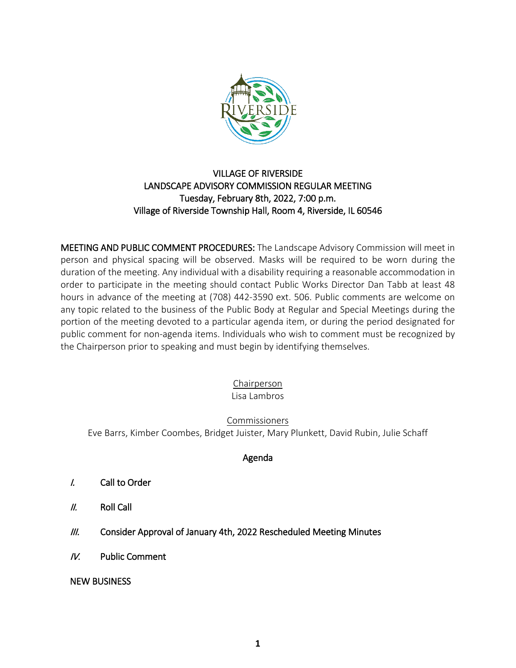

## VILLAGE OF RIVERSIDE LANDSCAPE ADVISORY COMMISSION REGULAR MEETING Tuesday, February 8th, 2022, 7:00 p.m. Village of Riverside Township Hall, Room 4, Riverside, IL 60546

MEETING AND PUBLIC COMMENT PROCEDURES: The Landscape Advisory Commission will meet in person and physical spacing will be observed. Masks will be required to be worn during the duration of the meeting. Any individual with a disability requiring a reasonable accommodation in order to participate in the meeting should contact Public Works Director Dan Tabb at least 48 hours in advance of the meeting at (708) 442-3590 ext. 506. Public comments are welcome on any topic related to the business of the Public Body at Regular and Special Meetings during the portion of the meeting devoted to a particular agenda item, or during the period designated for public comment for non-agenda items. Individuals who wish to comment must be recognized by the Chairperson prior to speaking and must begin by identifying themselves.

> Chairperson Lisa Lambros

Commissioners Eve Barrs, Kimber Coombes, Bridget Juister, Mary Plunkett, David Rubin, Julie Schaff

## Agenda

- I. Call to Order
- II. Roll Call
- III. Consider Approval of January 4th, 2022 Rescheduled Meeting Minutes
- IV. Public Comment

NEW BUSINESS